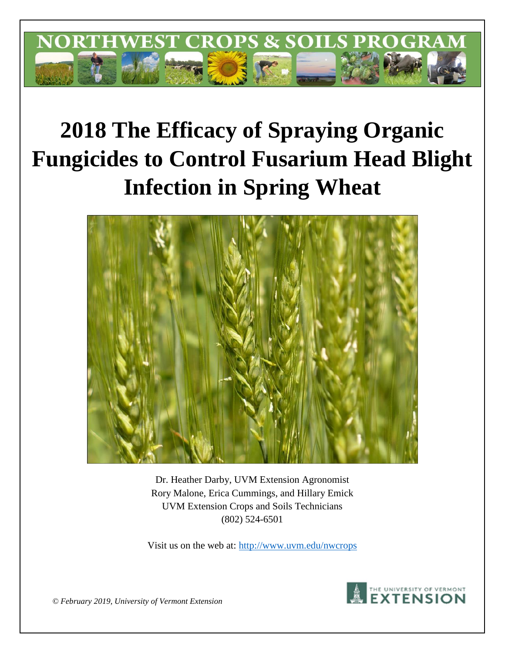

# **2018 The Efficacy of Spraying Organic Fungicides to Control Fusarium Head Blight Infection in Spring Wheat**



Dr. Heather Darby, UVM Extension Agronomist Rory Malone, Erica Cummings, and Hillary Emick UVM Extension Crops and Soils Technicians (802) 524-6501

Visit us on the web at:<http://www.uvm.edu/nwcrops>



*© February 2019, University of Vermont Extension*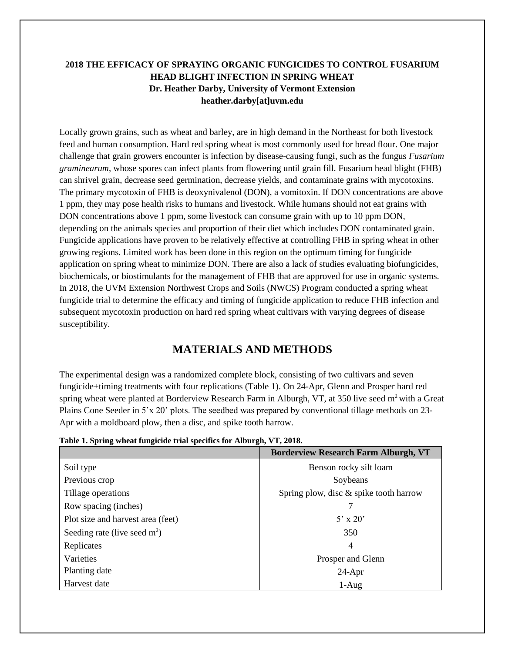## **2018 THE EFFICACY OF SPRAYING ORGANIC FUNGICIDES TO CONTROL FUSARIUM HEAD BLIGHT INFECTION IN SPRING WHEAT Dr. Heather Darby, University of Vermont Extension heather.darby[at]uvm.edu**

Locally grown grains, such as wheat and barley, are in high demand in the Northeast for both livestock feed and human consumption. Hard red spring wheat is most commonly used for bread flour. One major challenge that grain growers encounter is infection by disease-causing fungi, such as the fungus *Fusarium graminearum*, whose spores can infect plants from flowering until grain fill. Fusarium head blight (FHB) can shrivel grain, decrease seed germination, decrease yields, and contaminate grains with mycotoxins. The primary mycotoxin of FHB is deoxynivalenol (DON), a vomitoxin. If DON concentrations are above 1 ppm, they may pose health risks to humans and livestock. While humans should not eat grains with DON concentrations above 1 ppm, some livestock can consume grain with up to 10 ppm DON, depending on the animals species and proportion of their diet which includes DON contaminated grain. Fungicide applications have proven to be relatively effective at controlling FHB in spring wheat in other growing regions. Limited work has been done in this region on the optimum timing for fungicide application on spring wheat to minimize DON. There are also a lack of studies evaluating biofungicides, biochemicals, or biostimulants for the management of FHB that are approved for use in organic systems. In 2018, the UVM Extension Northwest Crops and Soils (NWCS) Program conducted a spring wheat fungicide trial to determine the efficacy and timing of fungicide application to reduce FHB infection and subsequent mycotoxin production on hard red spring wheat cultivars with varying degrees of disease susceptibility.

# **MATERIALS AND METHODS**

The experimental design was a randomized complete block, consisting of two cultivars and seven fungicide+timing treatments with four replications (Table 1). On 24-Apr, Glenn and Prosper hard red spring wheat were planted at Borderview Research Farm in Alburgh, VT, at  $350$  live seed m<sup>2</sup> with a Great Plains Cone Seeder in 5'x 20' plots. The seedbed was prepared by conventional tillage methods on 23- Apr with a moldboard plow, then a disc, and spike tooth harrow.

|  |  |  | Table 1. Spring wheat fungicide trial specifics for Alburgh, VT, 2018. |  |
|--|--|--|------------------------------------------------------------------------|--|
|  |  |  |                                                                        |  |

|                                   | <b>Borderview Research Farm Alburgh, VT</b> |  |  |
|-----------------------------------|---------------------------------------------|--|--|
| Soil type                         | Benson rocky silt loam                      |  |  |
| Previous crop                     | Soybeans                                    |  |  |
| Tillage operations                | Spring plow, disc & spike tooth harrow      |  |  |
| Row spacing (inches)              |                                             |  |  |
| Plot size and harvest area (feet) | $5'$ x 20'                                  |  |  |
| Seeding rate (live seed $m2$ )    | 350                                         |  |  |
| Replicates                        | $\overline{4}$                              |  |  |
| Varieties                         | Prosper and Glenn                           |  |  |
| Planting date                     | $24-Apr$                                    |  |  |
| Harvest date                      | $1-Aug$                                     |  |  |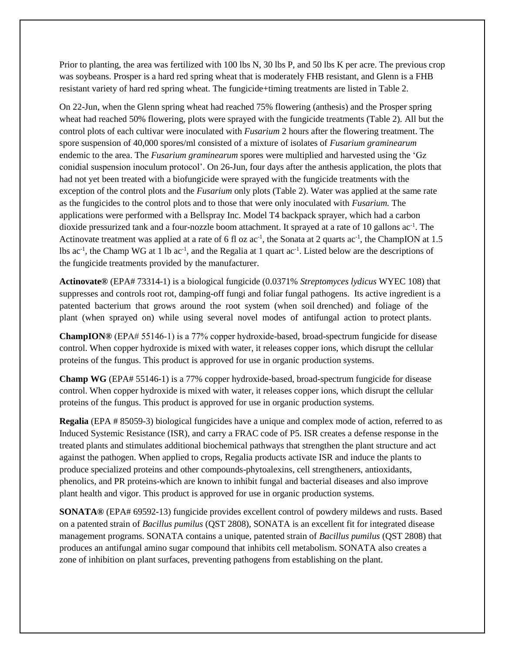Prior to planting, the area was fertilized with 100 lbs N, 30 lbs P, and 50 lbs K per acre. The previous crop was soybeans. Prosper is a hard red spring wheat that is moderately FHB resistant, and Glenn is a FHB resistant variety of hard red spring wheat. The fungicide+timing treatments are listed in Table 2.

On 22-Jun, when the Glenn spring wheat had reached 75% flowering (anthesis) and the Prosper spring wheat had reached 50% flowering, plots were sprayed with the fungicide treatments (Table 2). All but the control plots of each cultivar were inoculated with *Fusarium* 2 hours after the flowering treatment. The spore suspension of 40,000 spores/ml consisted of a mixture of isolates of *Fusarium graminearum*  endemic to the area. The *Fusarium graminearum* spores were multiplied and harvested using the 'Gz conidial suspension inoculum protocol'. On 26-Jun, four days after the anthesis application, the plots that had not yet been treated with a biofungicide were sprayed with the fungicide treatments with the exception of the control plots and the *Fusarium* only plots (Table 2). Water was applied at the same rate as the fungicides to the control plots and to those that were only inoculated with *Fusarium.* The applications were performed with a Bellspray Inc. Model T4 backpack sprayer, which had a carbon dioxide pressurized tank and a four-nozzle boom attachment. It sprayed at a rate of 10 gallons ac<sup>-1</sup>. The Actinovate treatment was applied at a rate of 6 fl oz  $ac^{-1}$ , the Sonata at 2 quarts  $ac^{-1}$ , the ChampION at 1.5 lbs  $ac^{-1}$ , the Champ WG at 1 lb  $ac^{-1}$ , and the Regalia at 1 quart  $ac^{-1}$ . Listed below are the descriptions of the fungicide treatments provided by the manufacturer.

**Actinovate®** (EPA# 73314-1) is a biological fungicide (0.0371% *Streptomyces lydicus* WYEC 108) that suppresses and controls root rot, damping-off fungi and foliar fungal pathogens. Its active ingredient is a patented bacterium that grows around the root system (when soil drenched) and foliage of the plant (when sprayed on) while using several novel modes of antifungal action to protect plants.

**ChampION®** (EPA# 55146‐1) is a 77% copper hydroxide-based, broad-spectrum fungicide for disease control. When copper hydroxide is mixed with water, it releases copper ions, which disrupt the cellular proteins of the fungus. This product is approved for use in organic production systems.

**Champ WG** (EPA# 55146-1) is a 77% copper hydroxide-based, broad-spectrum fungicide for disease control. When copper hydroxide is mixed with water, it releases copper ions, which disrupt the cellular proteins of the fungus. This product is approved for use in organic production systems.

**Regalia** (EPA # 85059-3) biological fungicides have a unique and complex mode of action, referred to as Induced Systemic Resistance (ISR), and carry a FRAC code of P5. ISR creates a defense response in the treated plants and stimulates additional biochemical pathways that strengthen the plant structure and act against the pathogen. When applied to crops, Regalia products activate ISR and induce the plants to produce specialized proteins and other compounds-phytoalexins, cell strengtheners, antioxidants, phenolics, and PR proteins-which are known to inhibit fungal and bacterial diseases and also improve plant health and vigor. This product is approved for use in organic production systems.

**SONATA®** (EPA# 69592-13) fungicide provides excellent control of powdery mildews and rusts. Based on a patented strain of *Bacillus pumilus* (QST 2808), SONATA is an excellent fit for integrated disease management programs. SONATA contains a unique, patented strain of *Bacillus pumilus* (QST 2808) that produces an antifungal amino sugar compound that inhibits cell metabolism. SONATA also creates a zone of inhibition on plant surfaces, preventing pathogens from establishing on the plant.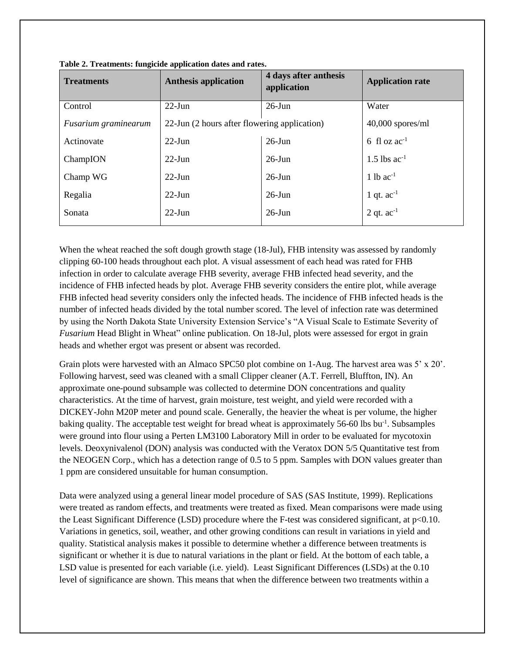| <b>Treatments</b>    | . .<br><b>Anthesis application</b>           | 4 days after anthesis<br>application | <b>Application rate</b> |  |
|----------------------|----------------------------------------------|--------------------------------------|-------------------------|--|
| Control              | $22$ -Jun                                    | $26$ -Jun                            | Water                   |  |
| Fusarium graminearum | 22-Jun (2 hours after flowering application) | $40,000$ spores/ml                   |                         |  |
| Actinovate           | $22$ -Jun                                    | $26$ -Jun                            | 6 fl oz $ac^{-1}$       |  |
| ChampION             | $22$ -Jun                                    | $26$ -Jun                            | 1.5 lbs $ac^{-1}$       |  |
| Champ WG             | $22-J$ un                                    | $26$ -Jun                            | 1 lb $ac^{-1}$          |  |
| Regalia              | $22$ -Jun                                    | $26$ -Jun                            | 1 qt. $ac^{-1}$         |  |
| Sonata               | $22$ -Jun                                    | $26$ -Jun                            | 2 qt. $ac^{-1}$         |  |

**Table 2. Treatments: fungicide application dates and rates.**

When the wheat reached the soft dough growth stage (18-Jul), FHB intensity was assessed by randomly clipping 60-100 heads throughout each plot. A visual assessment of each head was rated for FHB infection in order to calculate average FHB severity, average FHB infected head severity, and the incidence of FHB infected heads by plot. Average FHB severity considers the entire plot, while average FHB infected head severity considers only the infected heads. The incidence of FHB infected heads is the number of infected heads divided by the total number scored. The level of infection rate was determined by using the North Dakota State University Extension Service's "A Visual Scale to Estimate Severity of *Fusarium* Head Blight in Wheat" online publication. On 18-Jul, plots were assessed for ergot in grain heads and whether ergot was present or absent was recorded.

Grain plots were harvested with an Almaco SPC50 plot combine on 1-Aug. The harvest area was 5' x 20'. Following harvest, seed was cleaned with a small Clipper cleaner (A.T. Ferrell, Bluffton, IN). An approximate one-pound subsample was collected to determine DON concentrations and quality characteristics. At the time of harvest, grain moisture, test weight, and yield were recorded with a DICKEY-John M20P meter and pound scale. Generally, the heavier the wheat is per volume, the higher baking quality. The acceptable test weight for bread wheat is approximately 56-60 lbs bu<sup>-1</sup>. Subsamples were ground into flour using a Perten LM3100 Laboratory Mill in order to be evaluated for mycotoxin levels. Deoxynivalenol (DON) analysis was conducted with the Veratox DON 5/5 Quantitative test from the NEOGEN Corp., which has a detection range of 0.5 to 5 ppm. Samples with DON values greater than 1 ppm are considered unsuitable for human consumption.

Data were analyzed using a general linear model procedure of SAS (SAS Institute, 1999). Replications were treated as random effects, and treatments were treated as fixed. Mean comparisons were made using the Least Significant Difference (LSD) procedure where the F-test was considered significant, at p<0.10. Variations in genetics, soil, weather, and other growing conditions can result in variations in yield and quality. Statistical analysis makes it possible to determine whether a difference between treatments is significant or whether it is due to natural variations in the plant or field. At the bottom of each table, a LSD value is presented for each variable (i.e. yield). Least Significant Differences (LSDs) at the 0.10 level of significance are shown. This means that when the difference between two treatments within a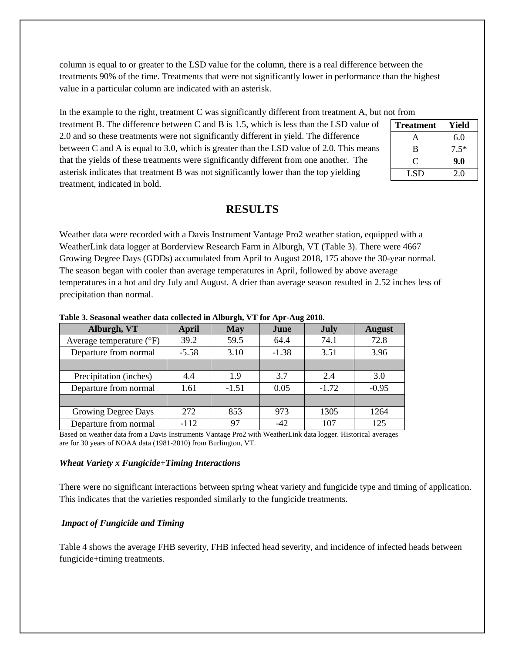column is equal to or greater to the LSD value for the column, there is a real difference between the treatments 90% of the time. Treatments that were not significantly lower in performance than the highest value in a particular column are indicated with an asterisk.

In the example to the right, treatment C was significantly different from treatment A, but not from

treatment B. The difference between C and B is 1.5, which is less than the LSD value of 2.0 and so these treatments were not significantly different in yield. The difference between C and A is equal to 3.0, which is greater than the LSD value of 2.0. This means that the yields of these treatments were significantly different from one another. The asterisk indicates that treatment B was not significantly lower than the top yielding treatment, indicated in bold.

| <b>Treatment</b> | Yield  |
|------------------|--------|
| А                | 6.0    |
| B                | $7.5*$ |
| C                | 9.0    |
| LSD              | 2.0    |

# **RESULTS**

Weather data were recorded with a Davis Instrument Vantage Pro2 weather station, equipped with a WeatherLink data logger at Borderview Research Farm in Alburgh, VT (Table 3). There were 4667 Growing Degree Days (GDDs) accumulated from April to August 2018, 175 above the 30-year normal. The season began with cooler than average temperatures in April, followed by above average temperatures in a hot and dry July and August. A drier than average season resulted in 2.52 inches less of precipitation than normal.

| Alburgh, VT                       | April   | <b>May</b> | June    | <b>July</b> | <b>August</b> |
|-----------------------------------|---------|------------|---------|-------------|---------------|
| Average temperature $(^{\circ}F)$ | 39.2    | 59.5       | 64.4    | 74.1        | 72.8          |
| Departure from normal             | $-5.58$ | 3.10       | $-1.38$ | 3.51        | 3.96          |
|                                   |         |            |         |             |               |
| Precipitation (inches)            | 4.4     | 1.9        | 3.7     | 2.4         | 3.0           |
| Departure from normal             | 1.61    | $-1.51$    | 0.05    | $-1.72$     | $-0.95$       |
|                                   |         |            |         |             |               |
| Growing Degree Days               | 272     | 853        | 973     | 1305        | 1264          |
| Departure from normal             | $-112$  | 97         | $-42$   | 107         | 125           |

**Table 3. Seasonal weather data collected in Alburgh, VT for Apr-Aug 2018.**

Based on weather data from a Davis Instruments Vantage Pro2 with WeatherLink data logger. Historical averages are for 30 years of NOAA data (1981-2010) from Burlington, VT.

#### *Wheat Variety x Fungicide+Timing Interactions*

There were no significant interactions between spring wheat variety and fungicide type and timing of application. This indicates that the varieties responded similarly to the fungicide treatments.

## *Impact of Fungicide and Timing*

Table 4 shows the average FHB severity, FHB infected head severity, and incidence of infected heads between fungicide+timing treatments.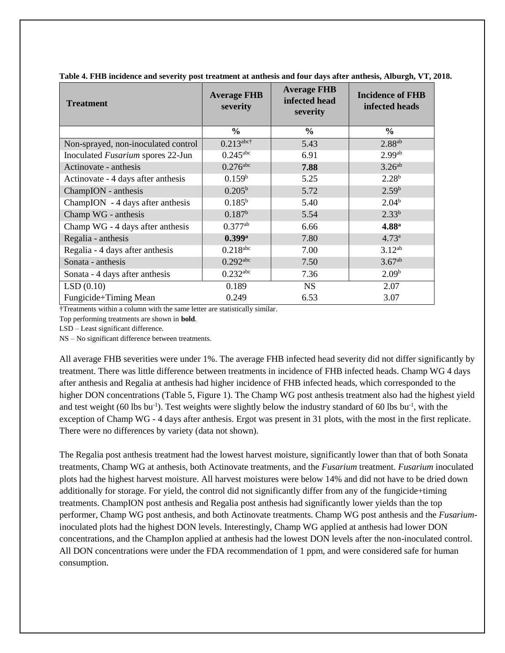| <b>Treatment</b>                    | <b>Average FHB</b><br>severity | <b>Average FHB</b><br>infected head<br>severity | <b>Incidence of FHB</b><br>infected heads |  |
|-------------------------------------|--------------------------------|-------------------------------------------------|-------------------------------------------|--|
|                                     | $\frac{6}{6}$                  | $\frac{6}{6}$                                   | $\frac{6}{6}$                             |  |
| Non-sprayed, non-inoculated control | $0.213$ abc†                   | 5.43                                            | $2.88$ <sup>ab</sup>                      |  |
| Inoculated Fusarium spores 22-Jun   | $0.245$ <sup>abc</sup>         | 6.91                                            | 2.99 <sup>ab</sup>                        |  |
| Actinovate - anthesis               | $0.276$ <sub>abc</sub>         | 7.88                                            | 3.26 <sup>ab</sup>                        |  |
| Actinovate - 4 days after anthesis  | 0.159 <sup>b</sup>             | 5.25                                            | $2.28^{b}$                                |  |
| ChampION - anthesis                 | $0.205^{\rm b}$                | 5.72                                            | 2.59 <sup>b</sup>                         |  |
| ChampION - 4 days after anthesis    | $0.185^{b}$                    | 5.40                                            | 2.04 <sup>b</sup>                         |  |
| Champ WG - anthesis                 | $0.187^b$                      | 5.54                                            | $2.33^{b}$                                |  |
| Champ WG - 4 days after anthesis    | $0.377$ <sup>ab</sup>          | 6.66                                            | 4.88 <sup>a</sup>                         |  |
| Regalia - anthesis                  | $0.399$ <sup>a</sup>           | 7.80                                            | $4.73^{\rm a}$                            |  |
| Regalia - 4 days after anthesis     | $0.218$ <sub>abc</sub>         | 7.00                                            | $3.12^{ab}$                               |  |
| Sonata - anthesis                   | $0.292$ <sup>abc</sup>         | 7.50                                            | 3.67 <sup>ab</sup>                        |  |
| Sonata - 4 days after anthesis      | $0.232^{\text{abc}}$           | 7.36                                            | 2.09 <sup>b</sup>                         |  |
| LSD(0.10)                           | 0.189                          | NS.                                             | 2.07                                      |  |
| Fungicide+Timing Mean               | 0.249                          | 6.53                                            | 3.07                                      |  |

**Table 4. FHB incidence and severity post treatment at anthesis and four days after anthesis, Alburgh, VT, 2018.**

†Treatments within a column with the same letter are statistically similar.

Top performing treatments are shown in **bold**.

LSD – Least significant difference.

NS – No significant difference between treatments.

All average FHB severities were under 1%. The average FHB infected head severity did not differ significantly by treatment. There was little difference between treatments in incidence of FHB infected heads. Champ WG 4 days after anthesis and Regalia at anthesis had higher incidence of FHB infected heads, which corresponded to the higher DON concentrations (Table 5, Figure 1). The Champ WG post anthesis treatment also had the highest yield and test weight  $(60 \text{ lbs} \text{ bu}^{-1})$ . Test weights were slightly below the industry standard of 60 lbs bu<sup>-1</sup>, with the exception of Champ WG - 4 days after anthesis. Ergot was present in 31 plots, with the most in the first replicate. There were no differences by variety (data not shown).

The Regalia post anthesis treatment had the lowest harvest moisture, significantly lower than that of both Sonata treatments, Champ WG at anthesis, both Actinovate treatments, and the *Fusarium* treatment. *Fusarium* inoculated plots had the highest harvest moisture. All harvest moistures were below 14% and did not have to be dried down additionally for storage. For yield, the control did not significantly differ from any of the fungicide+timing treatments. ChampION post anthesis and Regalia post anthesis had significantly lower yields than the top performer, Champ WG post anthesis, and both Actinovate treatments. Champ WG post anthesis and the *Fusarium*inoculated plots had the highest DON levels. Interestingly, Champ WG applied at anthesis had lower DON concentrations, and the ChampIon applied at anthesis had the lowest DON levels after the non-inoculated control. All DON concentrations were under the FDA recommendation of 1 ppm, and were considered safe for human consumption.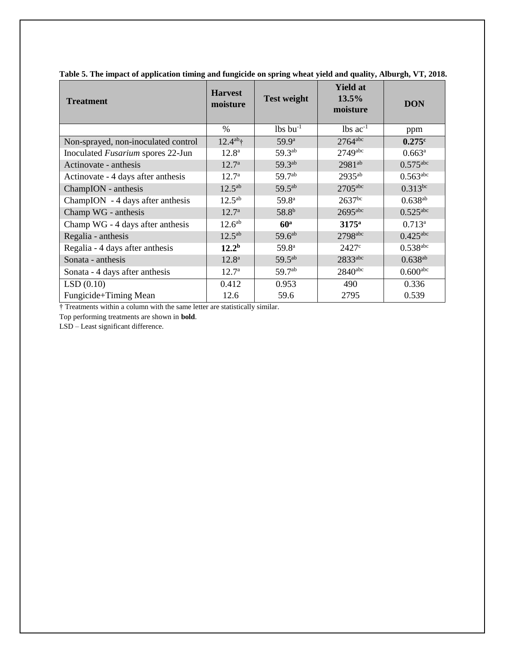| <b>Treatment</b>                    | <b>Harvest</b><br>moisture | <b>Test weight</b>     | <b>Yield at</b><br>13.5%<br>moisture | <b>DON</b>             |
|-------------------------------------|----------------------------|------------------------|--------------------------------------|------------------------|
|                                     | $\frac{0}{0}$              | $lbs$ bu <sup>-1</sup> | $lbs$ ac <sup>-1</sup>               | ppm                    |
| Non-sprayed, non-inoculated control | $12.4^{ab}$ †              | $59.9^{\rm a}$         | $2764$ <sup>abc</sup>                | 0.275c                 |
| Inoculated Fusarium spores 22-Jun   | $12.8^{\circ}$             | $59.3^{ab}$            | 2749abc                              | $0.663^a$              |
| Actinovate - anthesis               | 12.7 <sup>a</sup>          | 59.3ab                 | $2981^{ab}$                          | $0.575$ abc            |
| Actinovate - 4 days after anthesis  | 12.7 <sup>a</sup>          | 59.7 <sup>ab</sup>     | $2935^{ab}$                          | $0.563$ <sup>abc</sup> |
| ChampION - anthesis                 | $12.5^{ab}$                | $59.5^{ab}$            | $2705$ <sup>abc</sup>                | $0.313^{bc}$           |
| ChampION - 4 days after anthesis    | $12.5^{ab}$                | 59.8 <sup>a</sup>      | $2637^{bc}$                          | $0.638^{ab}$           |
| Champ WG - anthesis                 | $12.7^{\rm a}$             | 58.8 <sup>b</sup>      | $2695$ <sup>abc</sup>                | $0.525$ <sup>abc</sup> |
| Champ WG - 4 days after anthesis    | 12.6 <sup>ab</sup>         | 60 <sup>a</sup>        | $3175^{\rm a}$                       | $0.713^a$              |
| Regalia - anthesis                  | $12.5^{ab}$                | $59.6^{ab}$            | 2798abc                              | $0.425$ <sup>abc</sup> |
| Regalia - 4 days after anthesis     | $12.2^{\rm b}$             | 59.8 <sup>a</sup>      | $2427^{\circ}$                       | $0.538$ abc            |
| Sonata - anthesis                   | $12.8^{\rm a}$             | 59.5 <sup>ab</sup>     | 2833abc                              | $0.638^{ab}$           |
| Sonata - 4 days after anthesis      | $12.7^{\circ}$             | $59.7^{ab}$            | $2840$ <sup>abc</sup>                | $0.600$ <sup>abc</sup> |
| LSD(0.10)                           | 0.412                      | 0.953                  | 490                                  | 0.336                  |
| Fungicide+Timing Mean               | 12.6                       | 59.6                   | 2795                                 | 0.539                  |

**Table 5. The impact of application timing and fungicide on spring wheat yield and quality, Alburgh, VT, 2018.**

† Treatments within a column with the same letter are statistically similar.

Top performing treatments are shown in **bold**.

LSD – Least significant difference.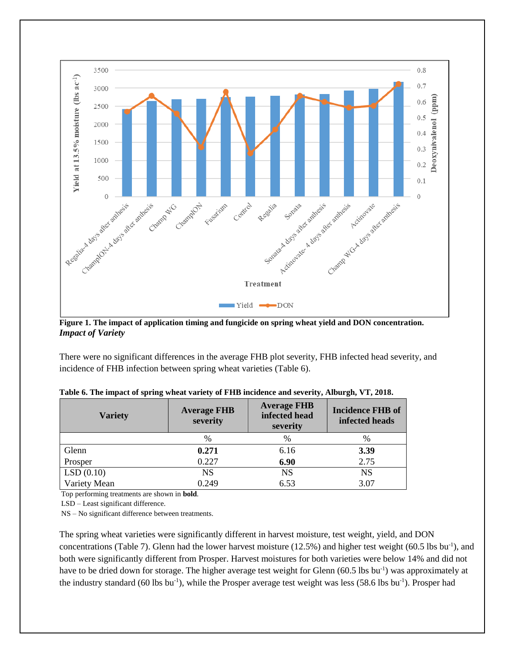

**Figure 1. The impact of application timing and fungicide on spring wheat yield and DON concentration.** *Impact of Variety*

There were no significant differences in the average FHB plot severity, FHB infected head severity, and incidence of FHB infection between spring wheat varieties (Table 6).

| <b>Variety</b> | <b>Average FHB</b><br>severity | <b>Average FHB</b><br>infected head<br>severity | <b>Incidence FHB of</b><br>infected heads |  |
|----------------|--------------------------------|-------------------------------------------------|-------------------------------------------|--|
|                | $\%$                           | $\%$                                            | $\%$                                      |  |
| Glenn          | 0.271                          | 6.16                                            | 3.39                                      |  |
| Prosper        | 0.227                          | 6.90                                            | 2.75                                      |  |
| LSD(0.10)      | <b>NS</b>                      | <b>NS</b>                                       | <b>NS</b>                                 |  |
| Variety Mean   | 0.249                          | 6.53                                            | 3.07                                      |  |

**Table 6. The impact of spring wheat variety of FHB incidence and severity, Alburgh, VT, 2018.**

Top performing treatments are shown in **bold**.

LSD – Least significant difference.

NS – No significant difference between treatments.

The spring wheat varieties were significantly different in harvest moisture, test weight, yield, and DON concentrations (Table 7). Glenn had the lower harvest moisture  $(12.5%)$  and higher test weight  $(60.5 \text{ lbs bu}^{-1})$ , and both were significantly different from Prosper. Harvest moistures for both varieties were below 14% and did not have to be dried down for storage. The higher average test weight for Glenn (60.5 lbs bu<sup>-1</sup>) was approximately at the industry standard (60 lbs bu<sup>-1</sup>), while the Prosper average test weight was less (58.6 lbs bu<sup>-1</sup>). Prosper had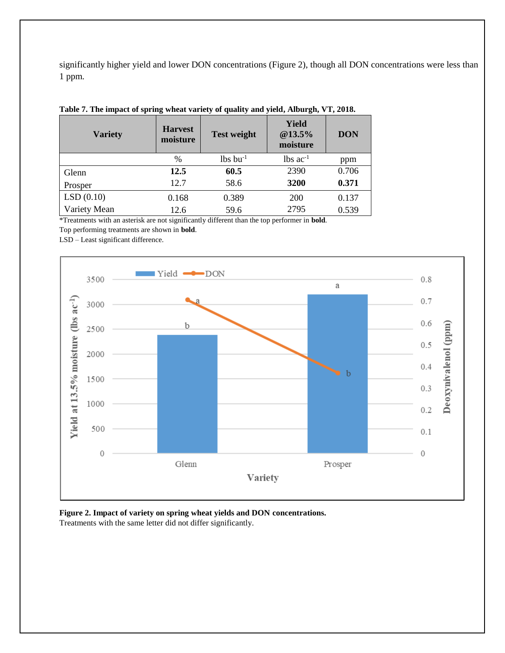significantly higher yield and lower DON concentrations (Figure 2), though all DON concentrations were less than 1 ppm.

| <b>Variety</b> | <b>Harvest</b><br>moisture | <b>Test weight</b>     | <b>Yield</b><br>@13.5%<br>moisture | <b>DON</b> |
|----------------|----------------------------|------------------------|------------------------------------|------------|
|                | %                          | $lbs$ bu <sup>-1</sup> | $lbs$ ac <sup>-1</sup>             | ppm        |
| Glenn          | 12.5                       | 60.5                   | 2390                               | 0.706      |
| Prosper        | 12.7                       | 58.6                   | 3200                               | 0.371      |
| LSD(0.10)      | 0.168                      | 0.389                  | <b>200</b>                         | 0.137      |
| Variety Mean   | 12.6                       | 59.6                   | 2795                               | 0.539      |

**Table 7. The impact of spring wheat variety of quality and yield, Alburgh, VT, 2018.**

\*Treatments with an asterisk are not significantly different than the top performer in **bold**.

Top performing treatments are shown in **bold**.

LSD – Least significant difference.



**Figure 2. Impact of variety on spring wheat yields and DON concentrations.** Treatments with the same letter did not differ significantly.